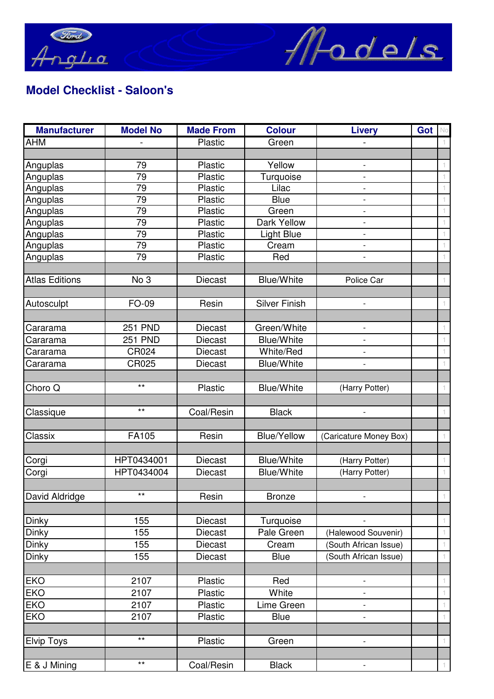

## **Model Checklist - Saloon's**

| <b>Manufacturer</b>   | <b>Model No</b> | <b>Made From</b> | <b>Colour</b>        | <b>Livery</b>            | Got |    |
|-----------------------|-----------------|------------------|----------------------|--------------------------|-----|----|
| <b>AHM</b>            |                 | Plastic          | Green                |                          |     |    |
|                       |                 |                  |                      |                          |     |    |
| Anguplas              | 79              | Plastic          | Yellow               | $\overline{\phantom{a}}$ |     |    |
| Anguplas              | 79              | Plastic          | Turquoise            |                          |     |    |
| Anguplas              | 79              | Plastic          | Lilac                |                          |     |    |
| Anguplas              | 79              | Plastic          | <b>Blue</b>          | $\overline{\phantom{0}}$ |     |    |
| Anguplas              | 79              | Plastic          | Green                |                          |     |    |
| Anguplas              | 79              | Plastic          | Dark Yellow          |                          |     |    |
| Anguplas              | 79              | Plastic          | Light Blue           | $\overline{\phantom{a}}$ |     |    |
| Anguplas              | 79              | Plastic          | Cream                | $\overline{\phantom{0}}$ |     |    |
| Anguplas              | 79              | Plastic          | Red                  |                          |     |    |
|                       |                 |                  |                      |                          |     |    |
| <b>Atlas Editions</b> | No 3            | <b>Diecast</b>   | <b>Blue/White</b>    | Police Car               |     |    |
|                       |                 |                  |                      |                          |     |    |
| Autosculpt            | FO-09           | Resin            | <b>Silver Finish</b> | $\overline{\phantom{a}}$ |     |    |
|                       | <b>251 PND</b>  | <b>Diecast</b>   | Green/White          |                          |     |    |
| Cararama              |                 |                  | <b>Blue/White</b>    |                          |     |    |
| Cararama              | <b>251 PND</b>  | <b>Diecast</b>   |                      |                          |     |    |
| Cararama              | CR024           | <b>Diecast</b>   | White/Red            |                          |     |    |
| Cararama              | CR025           | <b>Diecast</b>   | <b>Blue/White</b>    | $\overline{\phantom{a}}$ |     |    |
|                       | $***$           |                  |                      |                          |     |    |
| Choro Q               |                 | Plastic          | <b>Blue/White</b>    | (Harry Potter)           |     |    |
|                       | $***$           | Coal/Resin       | <b>Black</b>         |                          |     |    |
| Classique             |                 |                  |                      |                          |     |    |
| Classix               | FA105           | Resin            | <b>Blue/Yellow</b>   |                          |     |    |
|                       |                 |                  |                      | (Caricature Money Box)   |     |    |
| Corgi                 | HPT0434001      | <b>Diecast</b>   | <b>Blue/White</b>    | (Harry Potter)           |     |    |
| Corgi                 | HPT0434004      | <b>Diecast</b>   | <b>Blue/White</b>    | (Harry Potter)           |     |    |
|                       |                 |                  |                      |                          |     |    |
| David Aldridge        | $***$           | Resin            | <b>Bronze</b>        |                          |     |    |
|                       |                 |                  |                      |                          |     |    |
| Dinky                 | 155             | <b>Diecast</b>   | Turquoise            |                          |     | 1. |
| Dinky                 | 155             | Diecast          | Pale Green           | (Halewood Souvenir)      |     |    |
| Dinky                 | 155             | Diecast          | Cream                | (South African Issue)    |     |    |
| Dinky                 | 155             | Diecast          | Blue                 | (South African Issue)    |     |    |
|                       |                 |                  |                      |                          |     |    |
| <b>EKO</b>            | 2107            | <b>Plastic</b>   | Red                  |                          |     |    |
| <b>EKO</b>            | 2107            | <b>Plastic</b>   | White                |                          |     |    |
| <b>EKO</b>            | 2107            | Plastic          | Lime Green           |                          |     |    |
| <b>EKO</b>            | 2107            | <b>Plastic</b>   | <b>Blue</b>          | $\overline{\phantom{a}}$ |     |    |
|                       |                 |                  |                      |                          |     |    |
| <b>Elvip Toys</b>     | $\star\star$    | Plastic          | Green                |                          |     |    |
|                       |                 |                  |                      |                          |     |    |
| E & J Mining          | $***$           | Coal/Resin       | <b>Black</b>         |                          |     |    |
|                       |                 |                  |                      |                          |     |    |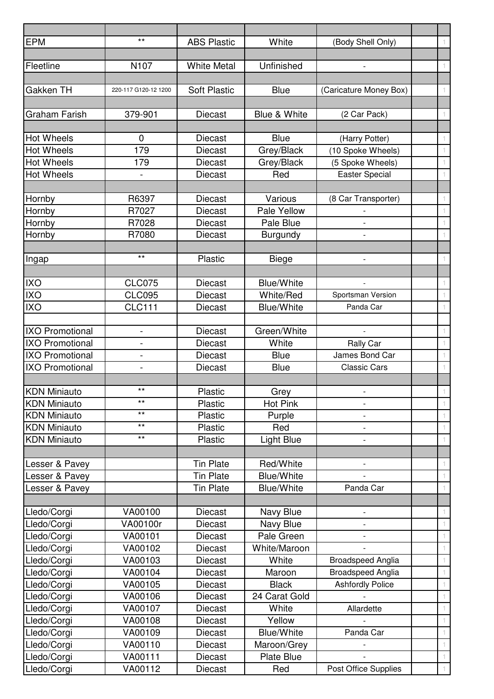| <b>EPM</b>                             | $***$                    | <b>ABS Plastic</b>                   | White                                  | (Body Shell Only)                         | $\left\vert \right\vert$ |
|----------------------------------------|--------------------------|--------------------------------------|----------------------------------------|-------------------------------------------|--------------------------|
|                                        |                          |                                      |                                        |                                           |                          |
| Fleetline                              | N <sub>107</sub>         | <b>White Metal</b>                   | Unfinished                             |                                           | $\top$                   |
|                                        |                          |                                      |                                        |                                           |                          |
| Gakken TH                              | 220-117 G120-12 1200     | <b>Soft Plastic</b>                  | <b>Blue</b>                            | (Caricature Money Box)                    | 1.                       |
|                                        |                          |                                      |                                        |                                           |                          |
| <b>Graham Farish</b>                   | 379-901                  | <b>Diecast</b>                       | Blue & White                           | (2 Car Pack)                              | $\mathbf{1}$             |
|                                        |                          |                                      |                                        |                                           |                          |
| <b>Hot Wheels</b>                      | $\mathbf 0$              | <b>Diecast</b>                       | <b>Blue</b>                            | (Harry Potter)                            | 1.                       |
| <b>Hot Wheels</b>                      | 179                      | <b>Diecast</b>                       | Grey/Black                             | (10 Spoke Wheels)                         | 1.                       |
| <b>Hot Wheels</b><br><b>Hot Wheels</b> | 179                      | <b>Diecast</b><br><b>Diecast</b>     | Grey/Black<br>Red                      | (5 Spoke Wheels)<br><b>Easter Special</b> | 1.                       |
|                                        | $\overline{\phantom{a}}$ |                                      |                                        |                                           |                          |
| Hornby                                 | R6397                    | <b>Diecast</b>                       | Various                                | (8 Car Transporter)                       |                          |
| Hornby                                 | R7027                    | <b>Diecast</b>                       | Pale Yellow                            |                                           | 1.                       |
| Hornby                                 | R7028                    | <b>Diecast</b>                       | Pale Blue                              |                                           |                          |
| Hornby                                 | R7080                    | <b>Diecast</b>                       | <b>Burgundy</b>                        | $\overline{\phantom{0}}$                  | 1.                       |
|                                        |                          |                                      |                                        |                                           |                          |
| Ingap                                  | $***$                    | Plastic                              | <b>Biege</b>                           |                                           | 1.                       |
|                                        |                          |                                      |                                        |                                           |                          |
| <b>IXO</b>                             | <b>CLC075</b>            | <b>Diecast</b>                       | <b>Blue/White</b>                      |                                           |                          |
| <b>IXO</b>                             | <b>CLC095</b>            | <b>Diecast</b>                       | White/Red                              | Sportsman Version                         | 1.                       |
| <b>IXO</b>                             | <b>CLC111</b>            | Diecast                              | <b>Blue/White</b>                      | Panda Car                                 | $\top$                   |
|                                        |                          |                                      |                                        |                                           |                          |
| <b>IXO Promotional</b>                 | $\overline{a}$           | <b>Diecast</b>                       | Green/White                            |                                           | 1.                       |
| <b>IXO Promotional</b>                 | $\overline{\phantom{a}}$ | <b>Diecast</b>                       | White                                  | Rally Car                                 | 1                        |
| <b>IXO Promotional</b>                 |                          | <b>Diecast</b>                       | <b>Blue</b>                            | James Bond Car                            | 1.                       |
| <b>IXO Promotional</b>                 |                          | <b>Diecast</b>                       | <b>Blue</b>                            | <b>Classic Cars</b>                       | 1.                       |
|                                        |                          |                                      |                                        |                                           |                          |
| <b>KDN Miniauto</b>                    | $***$                    | <b>Plastic</b>                       | Grey                                   |                                           | $\mathbf{1}$             |
| <b>KDN Miniauto</b>                    | $***$                    | Plastic                              | Hot Pink                               | $\overline{\phantom{a}}$                  | $\mathbf{1}$             |
| <b>KDN Miniauto</b>                    | $***$                    | Plastic                              | Purple                                 |                                           | 1.                       |
| <b>KDN Miniauto</b>                    | $***$                    | Plastic                              | Red                                    |                                           | $\top$                   |
| <b>KDN Miniauto</b>                    | $***$                    | Plastic                              | <b>Light Blue</b>                      | $\overline{\phantom{a}}$                  | $\top$                   |
|                                        |                          |                                      |                                        |                                           |                          |
| Lesser & Pavey                         |                          | <b>Tin Plate</b>                     | Red/White                              | $\overline{\phantom{a}}$                  | 1.                       |
| Lesser & Pavey                         |                          | <b>Tin Plate</b><br><b>Tin Plate</b> | <b>Blue/White</b><br><b>Blue/White</b> |                                           | 1.                       |
| Lesser & Pavey                         |                          |                                      |                                        | Panda Car                                 | $\top$                   |
| Lledo/Corgi                            | VA00100                  | <b>Diecast</b>                       | Navy Blue                              |                                           | 1.                       |
| Lledo/Corgi                            | VA00100r                 | <b>Diecast</b>                       | Navy Blue                              |                                           | 1.                       |
| Lledo/Corgi                            | VA00101                  | <b>Diecast</b>                       | Pale Green                             |                                           | $\top$                   |
| Lledo/Corgi                            | VA00102                  | <b>Diecast</b>                       | White/Maroon                           |                                           | 1.                       |
| Lledo/Corgi                            | VA00103                  | <b>Diecast</b>                       | White                                  | <b>Broadspeed Anglia</b>                  | 1.                       |
| Lledo/Corgi                            | VA00104                  | <b>Diecast</b>                       | Maroon                                 | <b>Broadspeed Anglia</b>                  | 1.                       |
| Lledo/Corgi                            | VA00105                  | <b>Diecast</b>                       | <b>Black</b>                           | <b>Ashfordly Police</b>                   | 1.                       |
| Lledo/Corgi                            | VA00106                  | <b>Diecast</b>                       | 24 Carat Gold                          |                                           | 1.                       |
| Lledo/Corgi                            | VA00107                  | <b>Diecast</b>                       | White                                  | Allardette                                | $\mathbb{1}$             |
| Lledo/Corgi                            | VA00108                  | <b>Diecast</b>                       | Yellow                                 |                                           | 1.                       |
| Lledo/Corgi                            | VA00109                  | <b>Diecast</b>                       | <b>Blue/White</b>                      | Panda Car                                 | 1.                       |
| Lledo/Corgi                            | VA00110                  | <b>Diecast</b>                       | Maroon/Grey                            |                                           | 1.                       |
| Lledo/Corgi                            | VA00111                  | Diecast                              | <b>Plate Blue</b>                      |                                           | 1.                       |
| Lledo/Corgi                            | VA00112                  | <b>Diecast</b>                       | Red                                    | Post Office Supplies                      | $\mathbf{1}$             |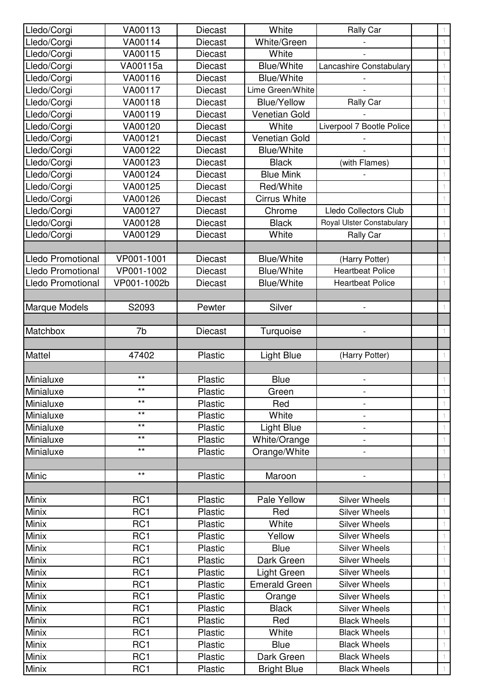| Lledo/Corgi              | VA00113                            | <b>Diecast</b>     | White                            | Rally Car                                  |  |
|--------------------------|------------------------------------|--------------------|----------------------------------|--------------------------------------------|--|
| Lledo/Corgi              | VA00114                            | <b>Diecast</b>     | White/Green                      |                                            |  |
| Lledo/Corgi              | VA00115                            | Diecast            | White                            |                                            |  |
| Lledo/Corgi              | VA00115a                           | <b>Diecast</b>     | <b>Blue/White</b>                | Lancashire Constabulary                    |  |
| Lledo/Corgi              | VA00116                            | <b>Diecast</b>     | <b>Blue/White</b>                |                                            |  |
| Lledo/Corgi              | VA00117                            | <b>Diecast</b>     | Lime Green/White                 |                                            |  |
| Lledo/Corgi              | VA00118                            | <b>Diecast</b>     | <b>Blue/Yellow</b>               | Rally Car                                  |  |
| Lledo/Corgi              | VA00119                            | <b>Diecast</b>     | <b>Venetian Gold</b>             |                                            |  |
| Lledo/Corgi              | VA00120                            | <b>Diecast</b>     | White                            | Liverpool 7 Bootle Police                  |  |
| Lledo/Corgi              | VA00121                            | <b>Diecast</b>     | <b>Venetian Gold</b>             |                                            |  |
| Lledo/Corgi              | VA00122                            | <b>Diecast</b>     | <b>Blue/White</b>                |                                            |  |
| Lledo/Corgi              | VA00123                            | <b>Diecast</b>     | <b>Black</b>                     | (with Flames)                              |  |
| Lledo/Corgi              | VA00124                            | <b>Diecast</b>     | <b>Blue Mink</b>                 |                                            |  |
| Lledo/Corgi              | VA00125                            | <b>Diecast</b>     | Red/White                        |                                            |  |
| Lledo/Corgi              | VA00126                            | Diecast            | <b>Cirrus White</b>              |                                            |  |
| Lledo/Corgi              | VA00127                            | Diecast            | Chrome                           | Lledo Collectors Club                      |  |
| Lledo/Corgi              | VA00128                            | <b>Diecast</b>     | <b>Black</b>                     | Royal Ulster Constabulary                  |  |
| Lledo/Corgi              | VA00129                            | <b>Diecast</b>     | White                            | Rally Car                                  |  |
|                          |                                    |                    |                                  |                                            |  |
| <b>Lledo Promotional</b> | VP001-1001                         | <b>Diecast</b>     | <b>Blue/White</b>                | (Harry Potter)                             |  |
| <b>Lledo Promotional</b> | VP001-1002                         | <b>Diecast</b>     | <b>Blue/White</b>                | <b>Heartbeat Police</b>                    |  |
| <b>Lledo Promotional</b> | VP001-1002b                        | <b>Diecast</b>     | <b>Blue/White</b>                | <b>Heartbeat Police</b>                    |  |
|                          |                                    |                    |                                  |                                            |  |
| Marque Models            | S2093                              | Pewter             | Silver                           |                                            |  |
|                          |                                    |                    |                                  |                                            |  |
| Matchbox                 | 7b                                 | <b>Diecast</b>     | Turquoise                        |                                            |  |
|                          |                                    |                    |                                  |                                            |  |
|                          |                                    |                    |                                  |                                            |  |
| Mattel                   | 47402                              | Plastic            | <b>Light Blue</b>                | (Harry Potter)                             |  |
|                          |                                    |                    |                                  |                                            |  |
| Minialuxe                | $***$                              | Plastic            | <b>Blue</b>                      |                                            |  |
| Minialuxe                | $***$                              | Plastic            | Green                            |                                            |  |
| Minialuxe                | $***$                              | Plastic            | Red                              | $\overline{\phantom{a}}$                   |  |
| Minialuxe                | $***$                              | Plastic            | White                            |                                            |  |
| Minialuxe                | $***$                              | Plastic            | Light Blue                       | $\qquad \qquad \blacksquare$               |  |
| Minialuxe                | $***$                              | Plastic            | White/Orange                     |                                            |  |
| Minialuxe                | $***$                              | Plastic            | Orange/White                     |                                            |  |
|                          |                                    |                    |                                  |                                            |  |
| Minic                    | $***$                              | Plastic            | Maroon                           |                                            |  |
|                          |                                    |                    |                                  |                                            |  |
| Minix                    | RC <sub>1</sub>                    | Plastic            | Pale Yellow                      | <b>Silver Wheels</b>                       |  |
| Minix                    | RC <sub>1</sub>                    | Plastic            | Red                              | <b>Silver Wheels</b>                       |  |
| Minix                    | RC <sub>1</sub>                    | Plastic            | White                            | <b>Silver Wheels</b>                       |  |
| Minix                    | RC <sub>1</sub>                    | Plastic            | Yellow                           | <b>Silver Wheels</b>                       |  |
| Minix                    | RC <sub>1</sub>                    | Plastic            | <b>Blue</b>                      | <b>Silver Wheels</b>                       |  |
| Minix                    | RC <sub>1</sub>                    | Plastic            | Dark Green                       | <b>Silver Wheels</b>                       |  |
| Minix                    | RC <sub>1</sub>                    | Plastic            | Light Green                      | Silver Wheels                              |  |
| Minix                    | RC <sub>1</sub>                    | Plastic            | <b>Emerald Green</b>             | <b>Silver Wheels</b>                       |  |
| Minix                    | RC <sub>1</sub>                    | Plastic            | Orange                           | <b>Silver Wheels</b>                       |  |
| Minix                    | RC <sub>1</sub>                    | Plastic            | <b>Black</b>                     | <b>Silver Wheels</b>                       |  |
| Minix                    | RC <sub>1</sub>                    | Plastic            | Red                              | <b>Black Wheels</b>                        |  |
| Minix                    | RC <sub>1</sub>                    | Plastic            | White                            | <b>Black Wheels</b>                        |  |
| Minix                    | RC <sub>1</sub>                    | Plastic            | <b>Blue</b>                      | <b>Black Wheels</b>                        |  |
| Minix<br>Minix           | RC <sub>1</sub><br>RC <sub>1</sub> | Plastic<br>Plastic | Dark Green<br><b>Bright Blue</b> | <b>Black Wheels</b><br><b>Black Wheels</b> |  |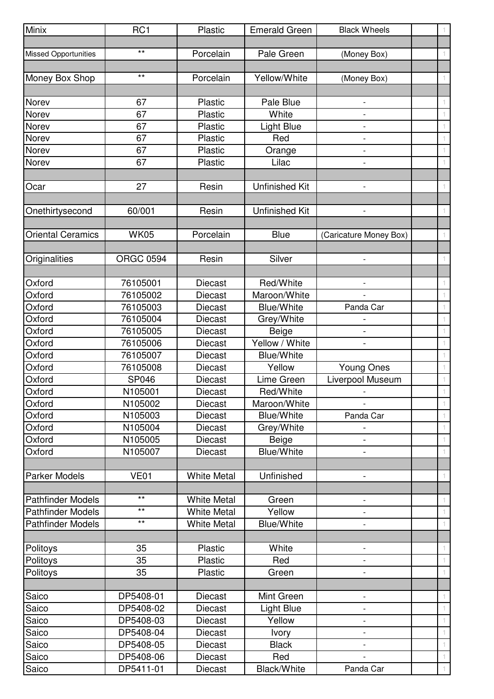| Minix                                                | RC <sub>1</sub>  | Plastic                                  | <b>Emerald Green</b>         | <b>Black Wheels</b>      | 1.           |
|------------------------------------------------------|------------------|------------------------------------------|------------------------------|--------------------------|--------------|
|                                                      |                  |                                          |                              |                          |              |
| <b>Missed Opportunities</b>                          | $***$            | Porcelain                                | Pale Green                   | (Money Box)              | 1.           |
|                                                      |                  |                                          |                              |                          |              |
| Money Box Shop                                       | $***$            | Porcelain                                | Yellow/White                 | (Money Box)              |              |
|                                                      |                  |                                          |                              |                          |              |
| Norev                                                | 67               | Plastic                                  | Pale Blue                    |                          |              |
| Norev                                                | 67               | Plastic                                  | White                        | $\overline{\phantom{a}}$ |              |
| Norev                                                | 67               | Plastic                                  | <b>Light Blue</b>            |                          |              |
| Norev                                                | 67               | Plastic                                  | Red                          | $\overline{a}$           | 1.           |
| Norev                                                | 67               | Plastic                                  | Orange                       |                          | 1.           |
| Norev                                                | 67               | Plastic                                  | Lilac                        |                          |              |
|                                                      |                  |                                          |                              |                          |              |
| Ocar                                                 | 27               | Resin                                    | <b>Unfinished Kit</b>        | $\overline{a}$           | 1.           |
|                                                      |                  |                                          |                              |                          |              |
| Onethirtysecond                                      | 60/001           | Resin                                    | Unfinished Kit               |                          | $\top$       |
|                                                      |                  |                                          |                              |                          |              |
| <b>Oriental Ceramics</b>                             | <b>WK05</b>      | Porcelain                                | <b>Blue</b>                  | (Caricature Money Box)   | 1.           |
|                                                      |                  |                                          |                              |                          |              |
| Originalities                                        | <b>ORGC 0594</b> | Resin                                    | Silver                       |                          | 1.           |
|                                                      |                  |                                          |                              |                          |              |
| Oxford                                               | 76105001         | <b>Diecast</b>                           | Red/White                    | $\overline{\phantom{a}}$ | 1.           |
| Oxford                                               | 76105002         | <b>Diecast</b>                           | Maroon/White                 |                          | 1.           |
| Oxford                                               | 76105003         | <b>Diecast</b>                           | <b>Blue/White</b>            | Panda Car                |              |
| Oxford                                               | 76105004         | <b>Diecast</b>                           | Grey/White                   |                          | 1.           |
| Oxford                                               | 76105005         | Diecast                                  | Beige                        |                          |              |
| Oxford                                               | 76105006         | Diecast                                  | Yellow / White               | $\overline{\phantom{a}}$ | 1.           |
| Oxford                                               | 76105007         | <b>Diecast</b>                           | <b>Blue/White</b>            |                          | 1.           |
| Oxford                                               | 76105008         | Diecast                                  | Yellow                       | <b>Young Ones</b>        | 1.           |
| Oxford                                               | <b>SP046</b>     | Diecast                                  | Lime Green                   | Liverpool Museum         | 1.           |
| Oxford                                               | N105001          | <b>Diecast</b>                           | Red/White                    |                          |              |
| Oxford                                               | N105002          | Diecast                                  | Maroon/White                 |                          |              |
| Oxford                                               | N105003          | Diecast                                  | <b>Blue/White</b>            | Panda Car                |              |
| Oxford                                               | N105004          | Diecast                                  | Grey/White                   |                          | 1.           |
| Oxford                                               | N105005          | <b>Diecast</b>                           | <b>Beige</b>                 |                          | 1.           |
| Oxford                                               | N105007          | Diecast                                  | <b>Blue/White</b>            | $\blacksquare$           | 1.           |
|                                                      |                  |                                          |                              |                          |              |
| <b>Parker Models</b>                                 | <b>VE01</b>      | <b>White Metal</b>                       | Unfinished                   |                          |              |
|                                                      | $***$            |                                          |                              |                          |              |
| <b>Pathfinder Models</b>                             | $***$            | <b>White Metal</b>                       | Green                        |                          | 1.           |
| <b>Pathfinder Models</b><br><b>Pathfinder Models</b> | $\star\star$     | <b>White Metal</b><br><b>White Metal</b> | Yellow<br><b>Blue/White</b>  |                          | 1.<br>$\top$ |
|                                                      |                  |                                          |                              |                          |              |
|                                                      | 35               | Plastic                                  | White                        |                          |              |
| Politoys<br>Politoys                                 | 35               | Plastic                                  | Red                          | $\overline{\phantom{a}}$ | 1.<br>1.     |
|                                                      | 35               |                                          |                              |                          |              |
| Politoys                                             |                  | <b>Plastic</b>                           | Green                        | $\overline{\phantom{a}}$ | 1.           |
|                                                      | DP5408-01        | <b>Diecast</b>                           | Mint Green                   |                          |              |
| Saico<br>Saico                                       | DP5408-02        | <b>Diecast</b>                           |                              | $\overline{\phantom{a}}$ | 1.<br>1.     |
| Saico                                                | DP5408-03        | <b>Diecast</b>                           | <b>Light Blue</b><br>Yellow  |                          |              |
| Saico                                                | DP5408-04        | Diecast                                  |                              |                          | 1.<br>1.     |
| Saico                                                | DP5408-05        | Diecast                                  | <b>Ivory</b><br><b>Black</b> |                          |              |
| Saico                                                | DP5408-06        | <b>Diecast</b>                           | Red                          |                          | 1.           |
| Saico                                                | DP5411-01        | <b>Diecast</b>                           | Black/White                  | Panda Car                | $\mathbb{1}$ |
|                                                      |                  |                                          |                              |                          |              |